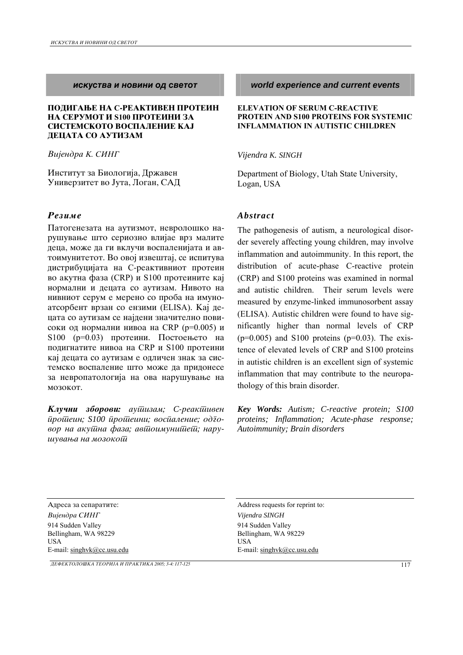### **ПОДИГАЊЕ НА С-РЕАКТИВЕН ПРОТЕИН НА СЕРУМОТ И \$100 ПРОТЕИНИ ЗА** СИСТЕМСКОТО ВОСПАЛЕНИЕ КАЈ **JEHATA CO AYTH3AM**

Вијендра К. СИНГ

Институт за Биологија, Државен Универзитет во Јута, Логан, САД

## *Rezime Abstract*

Патогенезата на аутизмот, невролошко нарушување што сериозно влијае врз малите деца, може да ги вклучи воспаленијата и автоимунитетот. Во овој извештај, се испитува дистрибуцијата на С-реактивниот протеин во акутна фаза (CRP) и S100 протеините кај нормални и децата со аутизам. Нивото на нивниот серум е мерено со проба на имуноатсорбент врзан со ензими (ELISA). Кај децата со аутизам се најдени значително повисоки од нормални нивоа на CRP (p=0.005) и  $S100$  ( $p=0.03$ ) протеини. Постоењето на подигнатите нивоа на CRP и S100 протеини кај децата со аутизам е одличен знак за системско воспаление што може да придонесе за невропатологија на ова нарушување на mozokot.

*Kлучни зборови: аушизам; С-реакшивен protein; S100 proteini; vospalenie; odgovor na akutna faza; avtoimunitet; naru*  $u$ vвања на мозоко*й* 

*iskustva i novini od svetot world experience and current events*

### **ELEVATION OF SERUM C-REACTIVE PROTEIN AND S100 PROTEINS FOR SYSTEMIC INFLAMMATION IN AUTISTIC CHILDREN**

### *Vijendra K. SINGH*

Department of Biology, Utah State University, Logan, USA

The pathogenesis of autism, a neurological disorder severely affecting young children, may involve inflammation and autoimmunity. In this report, the distribution of acute-phase C-reactive protein (CRP) and S100 proteins was examined in normal and autistic children. Their serum levels were measured by enzyme-linked immunosorbent assay (ELISA). Autistic children were found to have significantly higher than normal levels of CRP  $(p=0.005)$  and S100 proteins  $(p=0.03)$ . The existence of elevated levels of CRP and S100 proteins in autistic children is an excellent sign of systemic inflammation that may contribute to the neuropathology of this brain disorder.

*Key Words: Autism; C-reactive protein; S100 proteins; Inflammation; Acute-phase response; Autoimmunity; Brain disorders* 

Address requests for reprint to: Address requests for reprint to: *Vijendra SING Vijendra SINGH*  914 Sudden Valley Bellingham, WA 98229 USA E-mail: singhvk@cc.usu.edu

914 Sudden Valley Bellingham, WA 98229 USA E-mail: singhvk@cc.usu.edu

*DEFEKTOLO[KA TEORIJA I PRAKTIKA 2005; 3-4: 117-125* 117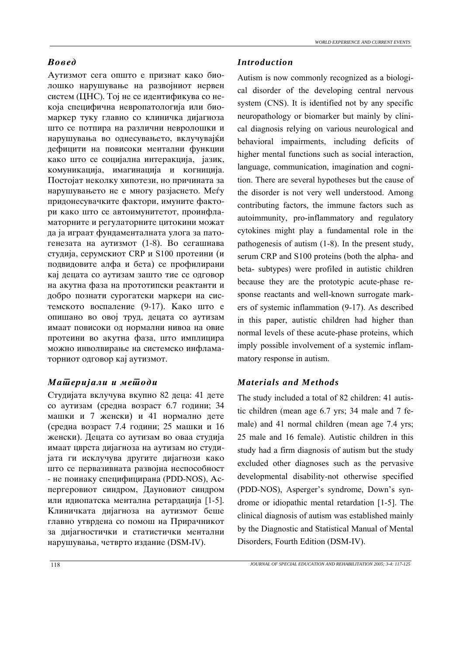Аутизмот сега општо е признат како биолошко нарушување на развојниот нервен систем (ЦНС). Тој не се идентификува со некоја специфична невропатологија или биомаркер туку главно со клиничка дијагноза што се потпира на различни невролошки и нарушувања во однесувањето, вклучувајќи дефицити на повисоки ментални функции како што се социјална интеракција, јазик, комуникација, имагинација и когниција. Постојат неколку хипотези, но причината за нарушувањето не е многу разјаснето. Меѓу придонесувачките фактори, имуните фактори како што се автоимунитетот, проинфламаторните и регулаторните цитокини можат да ја играат фундаменталната улога за патогенезата на аутизмот  $(1-8)$ . Во сегашнава студија, серумскиот CRP и S100 протеини (и подвидовите алфа и бета) се профилирани кај децата со аутизам зашто тие се одговор на акутна фаза на прототипски реактанти и добро познати сурогатски маркери на системското воспаление (9-17). Како што е опишано во овој труд, децата со аутизам имаат повисоки од нормални нивоа на овие протеини во акутна фаза, што имплицира можно инволвирање на системско инфламаторниот одговор кај аутизмот.

## *Materijali i metodi Materials and Methods*

Студијата вклучува вкупно 82 деца: 41 дете со аутизам (средна возраст 6.7 години; 34 машки и 7 женски) и 41 нормално дете (средна возраст 7.4 години; 25 машки и 16 женски). Децата со аутизам во оваа студија имаат цврста дијагноза на аутизам но студијата ги исклучува другите дијагнози како што се первазивната развојна неспособност - не поинаку специфицирана (PDD-NOS), Acпергеровиот синдром, Дауновиот синдром или идиопатска ментална ретардација [1-5]. Клиничката дијагноза на аутизмот беше главно утврдена со помош на Прирачникот за дијагностички и статистички ментални нарушувања, четврто издание (DSM-IV).

## *Voved Introduction*

Autism is now commonly recognized as a biological disorder of the developing central nervous system (CNS). It is identified not by any specific neuropathology or biomarker but mainly by clinical diagnosis relying on various neurological and behavioral impairments, including deficits of higher mental functions such as social interaction, language, communication, imagination and cognition. There are several hypotheses but the cause of the disorder is not very well understood. Among contributing factors, the immune factors such as autoimmunity, pro-inflammatory and regulatory cytokines might play a fundamental role in the pathogenesis of autism (1-8). In the present study, serum CRP and S100 proteins (both the alpha- and beta- subtypes) were profiled in autistic children because they are the prototypic acute-phase response reactants and well-known surrogate markers of systemic inflammation (9-17). As described in this paper, autistic children had higher than normal levels of these acute-phase proteins, which imply possible involvement of a systemic inflammatory response in autism.

The study included a total of 82 children: 41 autistic children (mean age 6.7 yrs; 34 male and 7 female) and 41 normal children (mean age 7.4 yrs; 25 male and 16 female). Autistic children in this study had a firm diagnosis of autism but the study excluded other diagnoses such as the pervasive developmental disability-not otherwise specified (PDD-NOS), Asperger's syndrome, Down's syndrome or idiopathic mental retardation [1-5]. The clinical diagnosis of autism was established mainly by the Diagnostic and Statistical Manual of Mental Disorders, Fourth Edition (DSM-IV).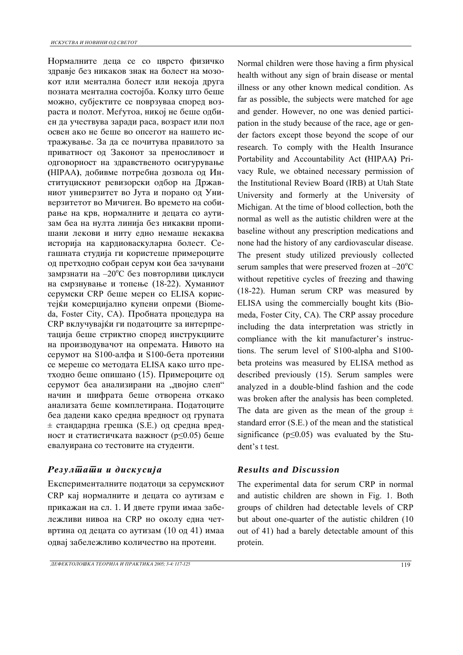Нормалните деца се со цврсто физичко здравје без никаков знак на болест на мозокот или ментална болест или некоја друга позната ментална состојба. Колку што беше можно, субјектите се поврзуваа според возраста и полот. Меѓутоа, никој не беше одбиен да учествува заради раса, возраст или пол освен ако не беше во опсегот на нашето истражување. За да се почитува правилото за приватност од Законот за преносливост и одговорност на здравственото осигурување **(**HIPAA**)**, dobivme potrebna dozvola od Inституцискиот ревизорски одбор на Државниот универзитет во Јута и порано од Универзитетот во Мичиген. Во времето на собирање на крв, нормалните и децата со аутизам беа на нулта линија без никакви пропишани лекови и ниту едно немаше некаква историја на кардиоваскуларна болест. Сегашната студија ги користеше примероците од претходно собран серум кои беа зачувани замрзнати на -20°С без повторливи циклуси на смрзнување и топење (18-22). Хуманиот серумски CRP беше мерен со ELISA користејќи комерцијално купени опреми (Biome $da$ , Foster City, CA). Пробната процедура на CRP вклучувајќи ги податоците за интерпретација беше стриктно според инструкциите на производувачот на опремата. Нивото на серумот на S100-алфа и S100-бета протеини се мереше со методата ELISA како што претходно беше опишано (15). Примероците од серумот беа анализирани на "двојно слеп" начин и шифрата беше отворена откако анализата беше комплетирана. Податоците беа дадени како средна вредност од групата  $\pm$  стандардна грешка (S.E.) од средна вредност и статистичката важност (р $\leq$ 0.05) беше евалуирана со тестовите на студенти.

# *Rezultati i diskusija Results and Discussion*

Експерименталните податоци за серумскиот CRP кај нормалните и децата со аутизам е прикажан на сл. 1. И двете групи имаа забележливи нивоа на CRP но околу една четвртина од децата со аутизам (10 од 41) имаа одвај забележливо количество на протеин.

Normal children were those having a firm physical health without any sign of brain disease or mental illness or any other known medical condition. As far as possible, the subjects were matched for age and gender. However, no one was denied participation in the study because of the race, age or gender factors except those beyond the scope of our research. To comply with the Health Insurance Portability and Accountability Act **(**HIPAA**)** Privacy Rule, we obtained necessary permission of the Institutional Review Board (IRB) at Utah State University and formerly at the University of Michigan. At the time of blood collection, both the normal as well as the autistic children were at the baseline without any prescription medications and none had the history of any cardiovascular disease. The present study utilized previously collected serum samples that were preserved frozen at  $-20^{\circ}$ C without repetitive cycles of freezing and thawing (18-22). Human serum CRP was measured by ELISA using the commercially bought kits (Biomeda, Foster City, CA). The CRP assay procedure including the data interpretation was strictly in compliance with the kit manufacturer's instructions. The serum level of S100-alpha and S100 beta proteins was measured by ELISA method as described previously (15). Serum samples were analyzed in a double-blind fashion and the code was broken after the analysis has been completed. The data are given as the mean of the group  $\pm$ standard error (S.E.) of the mean and the statistical significance ( $p \le 0.05$ ) was evaluated by the Stu-

dent's t test.

The experimental data for serum CRP in normal and autistic children are shown in Fig. 1. Both groups of children had detectable levels of CRP but about one-quarter of the autistic children (10 out of 41) had a barely detectable amount of this protein.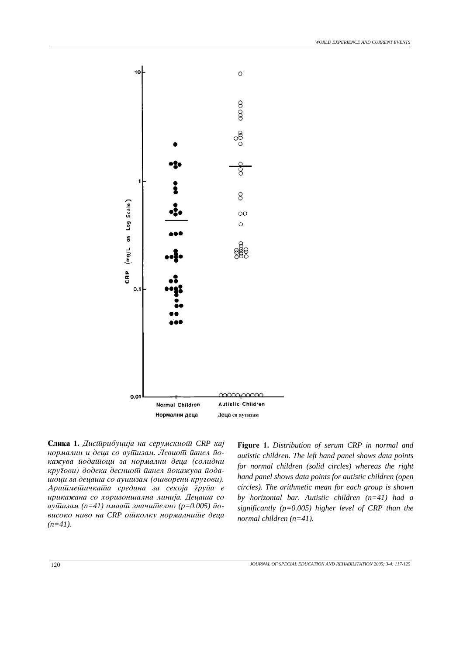

**Slika 1.** *Distribucija na serumskiot CRP kaj*  нормални и деца со аушизам. Левиош *йанел* йо*ka`uva podatoci za normalni deca (solidni*   $k$ ру $\bar{\imath}$ ови) додека деснио $\bar{u}$  *йанел йокажува йода*- $\bar{u}$ оци за деца $\bar{u}$ а со ау $\bar{u}$ изам (о $\bar{u}$ ворени кру $\bar{z}$ ови). *Aritmeti~kata sredina za sekoja grupa e*   $\bar{u}$ рикажана со хоризон $\bar{u}$ ална линија. Деца $\bar{u}$ а со *ay*шизам (n=41) имааш значишелно (р=0.005) ио- $\omega$ *високо ниво на CRP ошколку нормалнише деца*  $(n=41)$ *.* 

**Figure 1.** *Distribution of serum CRP in normal and autistic children. The left hand panel shows data points for normal children (solid circles) whereas the right hand panel shows data points for autistic children (open circles). The arithmetic mean for each group is shown by horizontal bar. Autistic children (n=41) had a significantly (p=0.005) higher level of CRP than the normal children (n=41).*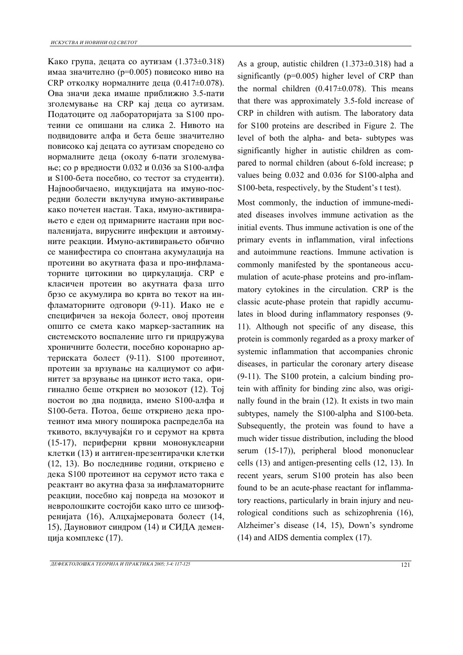Како група, децата со аутизам  $(1.373\pm0.318)$ имаа значително (р=0.005) повисоко ниво на CRP отколку нормалните деца (0.417 $\pm$ 0.078). Ова значи дека имаше приближно 3.5-пати зголемување на CRP кај деца со аутизам. Податоците од лабораторијата за S100 протеини се опишани на слика 2. Нивото на подвидовите алфа и бета беше значително повисоко кај децата со аутизам споредено со нормалните деца (околу 6-пати зголемување; со р вредности 0.032 и 0.036 за S100-алфа и S100-бета посебно, со тестот за студенти). Највообичаено, индукцијата на имуно-посредни болести вклучува имуно-активирање како почетен настан. Така, имуно-активирањето е еден од примарните настани при воспаленијата, вирусните инфекции и автоимуните реакции. Имуно-активирањето обично се манифестира со спонтана акумулација на протеини во акутната фаза и про-инфламаторните цитокини во циркулација. CRP е класичен протеин во акутната фаза што брзо се акумулира во крвта во текот на инфламаторните одговори (9-11). Иако не е специфичен за некоја болест, овој протеин општо се смета како маркер-застапник на системското воспаление што ги придружува хроничните болести, посебно коронарно артериската болест (9-11). S100 протеинот, протеин за врзување на калциумот со афинитет за врзување на цинкот исто така, оригинално беше откриен во мозокот (12). Тој постои во два подвида, имено S100-алфа и S100-бета. Потоа, беше откриено дека протеинот има многу поширока распределба на ткивото, вклучувајќи го и серумот на крвта (15-17), периферни крвни мононуклеарни клетки (13) и антиген-презентирачки клетки (12, 13). Во последниве години, откриено е дека S100 протеинот на серумот исто така е реактант во акутна фаза за инфламаторните реакции, посебно кај повреда на мозокот и невролошките состојби како што се шизофренијата (16), Алцхајмеровата болест (14, 15), Дауновиот синдром (14) и СИДА деменција комплекс (17).

As a group, autistic children  $(1.373\pm0.318)$  had a significantly (p=0.005) higher level of CRP than the normal children  $(0.417 \pm 0.078)$ . This means that there was approximately 3.5-fold increase of CRP in children with autism. The laboratory data for S100 proteins are described in Figure 2. The level of both the alpha- and beta- subtypes was significantly higher in autistic children as compared to normal children (about 6-fold increase; p values being 0.032 and 0.036 for S100-alpha and S100-beta, respectively, by the Student's t test).

Most commonly, the induction of immune-mediated diseases involves immune activation as the initial events. Thus immune activation is one of the primary events in inflammation, viral infections and autoimmune reactions. Immune activation is commonly manifested by the spontaneous accumulation of acute-phase proteins and pro-inflammatory cytokines in the circulation. CRP is the classic acute-phase protein that rapidly accumulates in blood during inflammatory responses (9- 11). Although not specific of any disease, this protein is commonly regarded as a proxy marker of systemic inflammation that accompanies chronic diseases, in particular the coronary artery disease (9-11). The S100 protein, a calcium binding protein with affinity for binding zinc also, was originally found in the brain (12). It exists in two main subtypes, namely the S100-alpha and S100-beta. Subsequently, the protein was found to have a much wider tissue distribution, including the blood serum (15-17)), peripheral blood mononuclear cells (13) and antigen-presenting cells (12, 13). In recent years, serum S100 protein has also been found to be an acute-phase reactant for inflammatory reactions, particularly in brain injury and neurological conditions such as schizophrenia (16), Alzheimer's disease (14, 15), Down's syndrome (14) and AIDS dementia complex (17).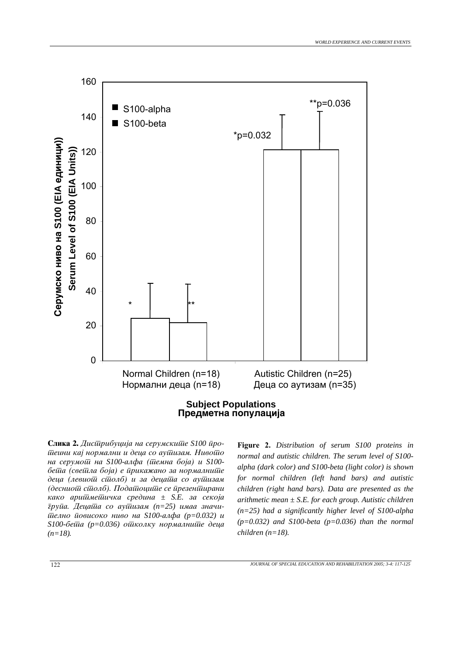

**Slika 2.** *Distribucija na serumskite S100 proteini kaj normalni i deca so autizam. Nivoto на серумощ на S100-алфа (шемна боја) и S100бейла (свейла боја) е йрикажано за нормалнийе* деца (левио*ш сшолб) и за децаша со аушизам (десниот столб). Податоците се презентирани kako ариймейичка средина ± S.E. за секоја*  $\bar{z}$ ру*йа. Децайла со ауйлизам (n=25) имаа значи*- $\bar{u}$ елно *йовисоко ниво на S100-алфа (p=0.032) и S100-бейна* (p=0.036) ойнколку нормалнийне деца  $(n=18)$ *.* 

**Figure 2.** *Distribution of serum S100 proteins in normal and autistic children. The serum level of S100 alpha (dark color) and S100-beta (light color) is shown for normal children (left hand bars) and autistic children (right hand bars). Data are presented as the arithmetic mean ± S.E. for each group. Autistic children (n=25) had a significantly higher level of S100-alpha (p=0.032) and S100-beta (p=0.036) than the normal children (n=18).*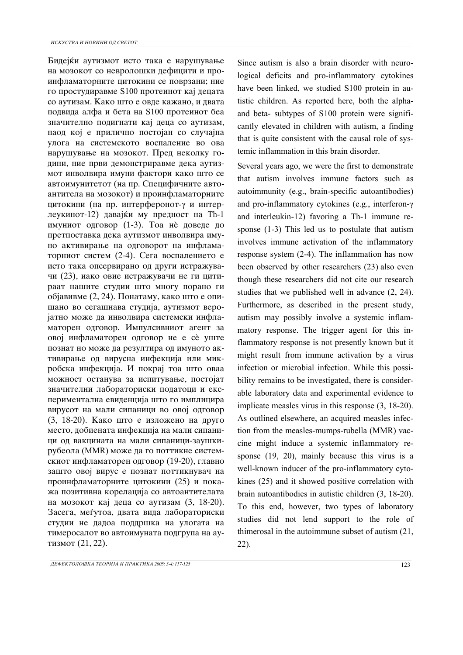Бидејќи аутизмот исто така е нарушување на мозокот со невролошки дефицити и проинфламаторните цитокини се поврзани; ние го простудиравме S100 протеинот кај децата со аутизам. Како што е овде кажано, и двата подвида алфа и бета на S100 протеинот беа значително подигнати кај деца со аутизам, наод кој е прилично постојан со случајна улога на системското воспаление во ова нарушување на мозокот. Пред неколку години, ние први демонстриравме дека аутизмот инволвира имуни фактори како што се автоимунитетот (на пр. Специфичните автоантитела на мозокот) и проинфламаторните цитокини (на пр. интерферонот-γ и интерлеукинот-12) давајќи му предност на Th-1 имуниот одговор (1-3). Тоа нѐ доведе до претпоставка дека аутизмот инволвира имуно активирање на одговорот на инфламаторниот систем (2-4). Сега воспалението е исто така опсервирано од други истражувачи (23), иако овие истражувачи не ги цитираат нашите студии што многу порано ги објавивме  $(2, 24)$ . Понатаму, како што е опишано во сегашнава студија, аутизмот веројатно може да инволвира системски инфламаторен одговор. Импулсивниот агент за овој инфламаторен одговор не е сѐ уште познат но може да резултира од имуното активирање од вирусна инфекција или микробска инфекција. И покрај тоа што оваа можност останува за испитување, постојат значителни лабораториски податоци и експериментална евиденција што го имплицира вирусот на мали сипаници во овој одговор (3, 18-20). Како што е изложено на друго место, добиената инфекција на мали сипаници од вакцината на мали сипаници-заушкирубеола (MMR) може да го поттикне системскиот инфламаторен одговор (19-20), главно зашто овој вирус е познат поттикнувач на проинфламаторните цитокини (25) и покажа позитивна корелација со автоантителата на мозокот кај деца со аутизам  $(3, 18-20)$ . Засега, меѓутоа, двата вида лабораториски студии не дадоа поддршка на улогата на тимеросалот во автоимуната подгрупа на аутизмот (21, 22).

Since autism is also a brain disorder with neurological deficits and pro-inflammatory cytokines have been linked, we studied S100 protein in autistic children. As reported here, both the alphaand beta- subtypes of S100 protein were significantly elevated in children with autism, a finding that is quite consistent with the causal role of systemic inflammation in this brain disorder.

Several years ago, we were the first to demonstrate that autism involves immune factors such as autoimmunity (e.g., brain-specific autoantibodies) and pro-inflammatory cytokines (e.g., interferon-γ and interleukin-12) favoring a Th-1 immune response (1-3) This led us to postulate that autism involves immune activation of the inflammatory response system (2-4). The inflammation has now been observed by other researchers (23) also even though these researchers did not cite our research studies that we published well in advance (2, 24). Furthermore, as described in the present study, autism may possibly involve a systemic inflammatory response. The trigger agent for this inflammatory response is not presently known but it might result from immune activation by a virus infection or microbial infection. While this possibility remains to be investigated, there is considerable laboratory data and experimental evidence to implicate measles virus in this response (3, 18-20). As outlined elsewhere, an acquired measles infection from the measles-mumps-rubella (MMR) vaccine might induce a systemic inflammatory response (19, 20), mainly because this virus is a well-known inducer of the pro-inflammatory cytokines (25) and it showed positive correlation with brain autoantibodies in autistic children (3, 18-20). To this end, however, two types of laboratory studies did not lend support to the role of thimerosal in the autoimmune subset of autism (21, 22).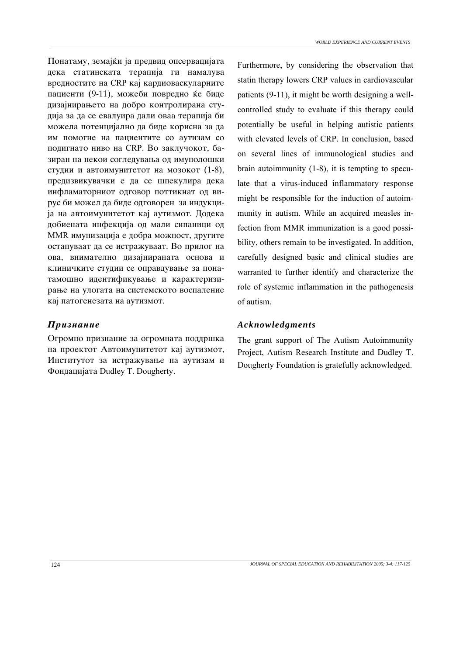Понатаму, земајќи ја предвид опсервацијата дека статинската терапија ги намалува вредностите на CRP кај кардиоваскуларните пациенти (9-11), можеби повредно ќе биде дизајнирањето на добро контролирана студија за да се евалуира дали оваа терапија би можела потенцијално да биде корисна за да им помогне на пациентите со аутизам со подигнато ниво на CRP. Во заклучокот, базиран на некои согледувања од имунолошки студии и автоимунитетот на мозокот (1-8), предизвикувачки е да се шпекулира дека инфламаторниот одговор поттикнат од вирус би можел да биде одговорен за индукција на автоимунитетот кај аутизмот. Додека добиената инфекција од мали сипаници од MMR имунизација е добра можност, другите остануваат да се истражуваат. Во прилог на ова, внимателно дизајнираната основа и клиничките студии се оправдување за понатамошно идентификување и карактеризирање на улогата на системското воспаление кај патогенезата на аутизмот.

Огромно признание за огромната поддршка на проектот Автоимунитетот кај аутизмот, Институтот за истражување на аутизам и Фондацијата Dudley T. Dougherty.

Furthermore, by considering the observation that statin therapy lowers CRP values in cardiovascular patients (9-11), it might be worth designing a wellcontrolled study to evaluate if this therapy could potentially be useful in helping autistic patients with elevated levels of CRP. In conclusion, based on several lines of immunological studies and brain autoimmunity (1-8), it is tempting to speculate that a virus-induced inflammatory response might be responsible for the induction of autoimmunity in autism. While an acquired measles infection from MMR immunization is a good possibility, others remain to be investigated. In addition, carefully designed basic and clinical studies are warranted to further identify and characterize the role of systemic inflammation in the pathogenesis of autism.

## *Priznanie Acknowledgments*

The grant support of The Autism Autoimmunity Project, Autism Research Institute and Dudley T. Dougherty Foundation is gratefully acknowledged.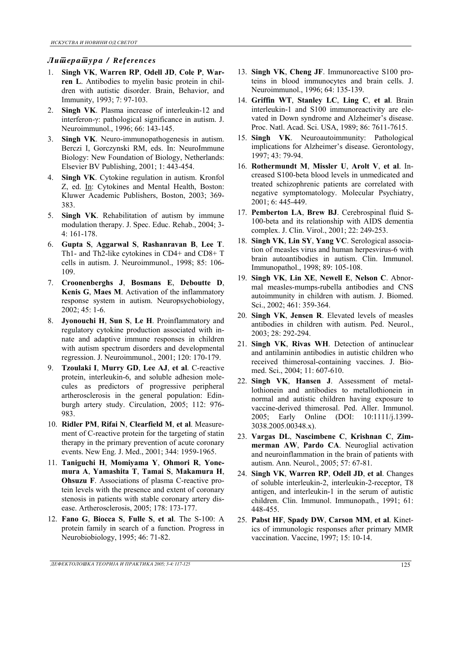### *Literatura / References*

- 1. **Singh VK**, **Warren RP**, **Odell JD**, **Cole P**, **Warren L**. Antibodies to myelin basic protein in children with autistic disorder. Brain, Behavior, and Immunity, 1993; 7: 97-103.
- 2. **Singh VK**. Plasma increase of interleukin-12 and interferon-γ: pathological significance in autism. J. Neuroimmunol., 1996; 66: 143-145.
- 3. **Singh VK**. Neuro-immunopathogenesis in autism. Berczi I, Gorczynski RM, eds. In: NeuroImmune Biology: New Foundation of Biology, Netherlands: Elsevier BV Publishing, 2001; 1: 443-454.
- 4. **Singh VK**. Cytokine regulation in autism. Kronfol Z, ed. In: Cytokines and Mental Health, Boston: Kluwer Academic Publishers, Boston, 2003; 369- 383.
- 5. **Singh VK**. Rehabilitation of autism by immune modulation therapy. J. Spec. Educ. Rehab., 2004; 3- 4: 161-178.
- 6. **Gupta S**, **Aggarwal S**, **Rashanravan B**, **Lee T**. Th1- and Th2-like cytokines in CD4+ and CD8+ T cells in autism. J. Neuroimmunol., 1998; 85: 106- 109.
- 7. **Croonenberghs J**, **Bosmans E**, **Deboutte D**, **Kenis G**, **Maes M**. Activation of the inflammatory response system in autism. Neuropsychobiology, 2002; 45: 1-6.
- 8. **Jyonouchi H**, **Sun S**, **Le H**. Proinflammatory and regulatory cytokine production associated with innate and adaptive immune responses in children with autism spectrum disorders and developmental regression. J. Neuroimmunol., 2001; 120: 170-179.
- 9. **Tzoulaki I**, **Murry GD**, **Lee AJ**, **et al**. C-reactive protein, interleukin-6, and soluble adhesion molecules as predictors of progressive peripheral artherosclerosis in the general population: Edinburgh artery study. Circulation, 2005; 112: 976- 983.
- 10. **Ridler PM**, **Rifai N**, **Clearfield M**, **et al**. Measurement of C-reactive protein for the targeting of statin therapy in the primary prevention of acute coronary events. New Eng. J. Med., 2001; 344: 1959-1965.
- 11. **Taniguchi H**, **Momiyama Y**, **Ohmori R**, **Yonemura A**, **Yamashita T**, **Tamai S**, **Makamura H**, **Ohsuzu F**. Associations of plasma C-reactive protein levels with the presence and extent of coronary stenosis in patients with stable coronary artery disease. Artherosclerosis, 2005; 178: 173-177.
- 12. **Fano G**, **Biocca S**, **Fulle S**, **et al**. The S-100: A protein family in search of a function. Progress in Neurobiobiology, 1995; 46: 71-82.
- 13. **Singh VK**, **Cheng JF**. Immunoreactive S100 proteins in blood immunocytes and brain cells. J. Neuroimmunol., 1996; 64: 135-139.
- 14. **Griffin WT**, **Stanley LC**, **Ling C**, **et al**. Brain interleukin-1 and S100 immunoreactivity are elevated in Down syndrome and Alzheimer's disease. Proc. Natl. Acad. Sci. USA, 1989; 86: 7611-7615.
- 15. **Singh VK**. Neuroautoimmunity: Pathological implications for Alzheimer's disease. Gerontology, 1997; 43: 79-94.
- 16. **Rothermundt M**, **Missler U**, **Arolt V**, **et al**. Increased S100-beta blood levels in unmedicated and treated schizophrenic patients are correlated with negative symptomatology. Molecular Psychiatry, 2001; 6: 445-449.
- 17. **Pemberton LA**, **Brew BJ**. Cerebrospinal fluid S-100-beta and its relationship with AIDS dementia complex. J. Clin. Virol., 2001; 22: 249-253.
- 18. **Singh VK**, **Lin SY**, **Yang VC**. Serological association of measles virus and human herpesvirus-6 with brain autoantibodies in autism. Clin. Immunol. Immunopathol., 1998; 89: 105-108.
- 19. **Singh VK**, **Lin XE**, **Newell E**, **Nelson C**. Abnormal measles-mumps-rubella antibodies and CNS autoimmunity in children with autism. J. Biomed. Sci., 2002; 461: 359-364.
- 20. **Singh VK**, **Jensen R**. Elevated levels of measles antibodies in children with autism. Ped. Neurol., 2003; 28: 292-294.
- 21. **Singh VK**, **Rivas WH**. Detection of antinuclear and antilaminin antibodies in autistic children who received thimerosal-containing vaccines. J. Biomed. Sci., 2004; 11: 607-610.
- 22. **Singh VK**, **Hansen J**. Assessment of metallothionein and antibodies to metallothionein in normal and autistic children having exposure to vaccine-derived thimerosal. Ped. Aller. Immunol. 2005; Early Online (DOI: 10:1111/j.1399- 3038.2005.00348.x).
- 23. **Vargas DL**, **Nascimbene C**, **Krishnan C**, **Zimmerman AW**, **Pardo CA**. Neuroglial activation and neuroinflammation in the brain of patients with autism. Ann. Neurol., 2005; 57: 67-81.
- 24. **Singh VK**, **Warren RP**, **Odell JD**, **et al**. Changes of soluble interleukin-2, interleukin-2-receptor, T8 antigen, and interleukin-1 in the serum of autistic children. Clin. Immunol. Immunopath., 1991; 61: 448-455.
- 25. **Pabst HF**, **Spady DW**, **Carson MM**, **et al**. Kinetics of immunologic responses after primary MMR vaccination. Vaccine, 1997; 15: 10-14.

*DEFEKTOLO[KA TEORIJA I PRAKTIKA 2005; 3-4: 117-125* 125